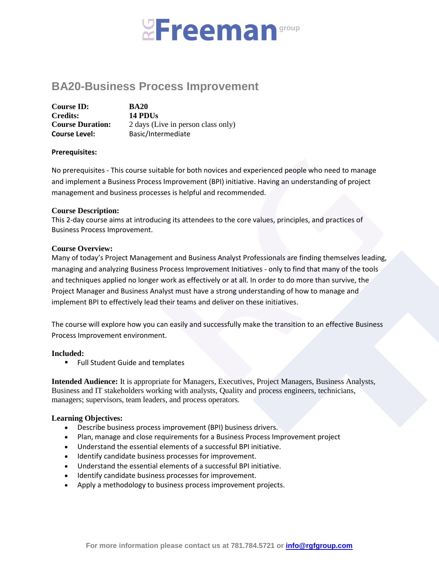# **Ereeman**group

# **BA20-Business Process Improvement**

| <b>Course ID:</b>       | <b>BA20</b>                        |
|-------------------------|------------------------------------|
| <b>Credits:</b>         | 14 PDUs                            |
| <b>Course Duration:</b> | 2 days (Live in person class only) |
| <b>Course Level:</b>    | Basic/Intermediate                 |

### **Prerequisites:**

No prerequisites - This course suitable for both novices and experienced people who need to manage and implement a Business Process Improvement (BPI) initiative. Having an understanding of project management and business processes is helpful and recommended.

### **Course Description:**

This 2-day course aims at introducing its attendees to the core values, principles, and practices of Business Process Improvement.

### **Course Overview:**

Many of today's Project Management and Business Analyst Professionals are finding themselves leading, managing and analyzing Business Process Improvement Initiatives - only to find that many of the tools and techniques applied no longer work as effectively or at all. In order to do more than survive, the Project Manager and Business Analyst must have a strong understanding of how to manage and implement BPI to effectively lead their teams and deliver on these initiatives.

The course will explore how you can easily and successfully make the transition to an effective Business Process Improvement environment.

### **Included:**

**Full Student Guide and templates** 

**Intended Audience:** It is appropriate for Managers, Executives, Project Managers, Business Analysts, Business and IT stakeholders working with analysts, Quality and process engineers, technicians, managers; supervisors, team leaders, and process operators.

### **Learning Objectives:**

- Describe business process improvement (BPI) business drivers.
- Plan, manage and close requirements for a Business Process Improvement project
- Understand the essential elements of a successful BPI initiative.
- Identify candidate business processes for improvement.
- Understand the essential elements of a successful BPI initiative.
- Identify candidate business processes for improvement.
- Apply a methodology to business process improvement projects.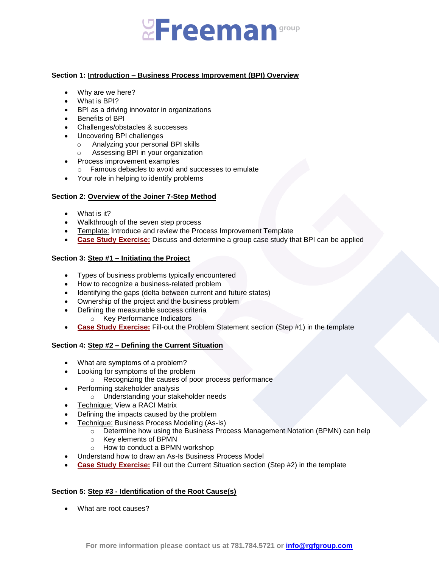# **Ereeman**group

## **Section 1: Introduction – Business Process Improvement (BPI) Overview**

- Why are we here?
- What is BPI?
- BPI as a driving innovator in organizations
- Benefits of BPI
- Challenges/obstacles & successes
- Uncovering BPI challenges
	- o Analyzing your personal BPI skills
	- o Assessing BPI in your organization
- Process improvement examples
	- o Famous debacles to avoid and successes to emulate
- Your role in helping to identify problems

### **Section 2: Overview of the Joiner 7-Step Method**

- What is it?
- Walkthrough of the seven step process
- Template: Introduce and review the Process Improvement Template
- **Case Study Exercise:** Discuss and determine a group case study that BPI can be applied

# **Section 3: Step #1 – Initiating the Project**

- Types of business problems typically encountered
- How to recognize a business-related problem
- Identifying the gaps (delta between current and future states)
- Ownership of the project and the business problem
- Defining the measurable success criteria
	- o Key Performance Indicators
- **Case Study Exercise:** Fill-out the Problem Statement section (Step #1) in the template

### **Section 4: Step #2 – Defining the Current Situation**

- What are symptoms of a problem?
- Looking for symptoms of the problem
	- o Recognizing the causes of poor process performance
- Performing stakeholder analysis
	- o Understanding your stakeholder needs
- Technique: View a RACI Matrix
- Defining the impacts caused by the problem
- Technique: Business Process Modeling (As-Is)
	- $\circ$  Determine how using the Business Process Management Notation (BPMN) can help
	- o Key elements of BPMN
	- o How to conduct a BPMN workshop
- Understand how to draw an As-Is Business Process Model
- **Case Study Exercise:** Fill out the Current Situation section (Step #2) in the template

### **Section 5: Step #3 - Identification of the Root Cause(s)**

What are root causes?